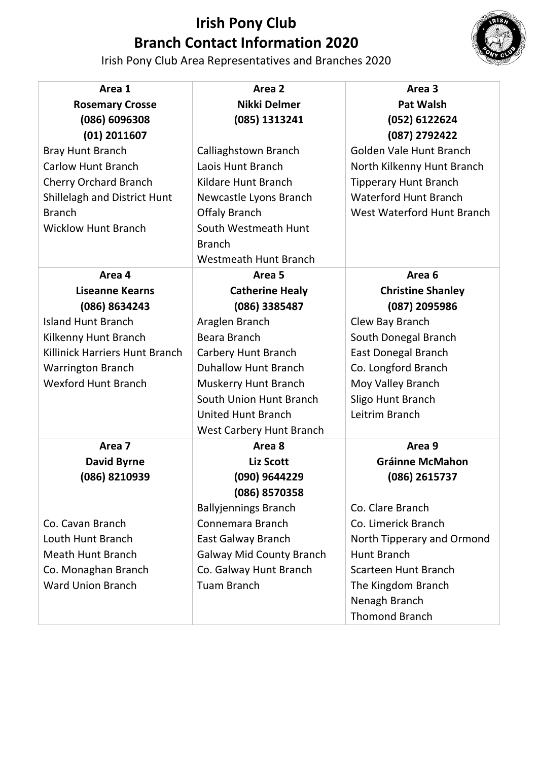

Irish Pony Club Area Representatives and Branches 2020

| Area 1                              | Area 2                          | Area 3                       |
|-------------------------------------|---------------------------------|------------------------------|
| <b>Rosemary Crosse</b>              | Nikki Delmer                    | <b>Pat Walsh</b>             |
| (086) 6096308                       | (085) 1313241                   | (052) 6122624                |
| $(01)$ 2011607                      |                                 | (087) 2792422                |
| <b>Bray Hunt Branch</b>             | Calliaghstown Branch            | Golden Vale Hunt Branch      |
| <b>Carlow Hunt Branch</b>           | Laois Hunt Branch               | North Kilkenny Hunt Branch   |
| <b>Cherry Orchard Branch</b>        | Kildare Hunt Branch             | <b>Tipperary Hunt Branch</b> |
| <b>Shillelagh and District Hunt</b> | Newcastle Lyons Branch          | <b>Waterford Hunt Branch</b> |
| <b>Branch</b>                       | <b>Offaly Branch</b>            | West Waterford Hunt Branch   |
| <b>Wicklow Hunt Branch</b>          | South Westmeath Hunt            |                              |
|                                     | <b>Branch</b>                   |                              |
|                                     | <b>Westmeath Hunt Branch</b>    |                              |
| Area 4                              | Area <sub>5</sub>               | Area <sub>6</sub>            |
| <b>Liseanne Kearns</b>              | <b>Catherine Healy</b>          | <b>Christine Shanley</b>     |
| (086) 8634243                       | (086) 3385487                   | (087) 2095986                |
| <b>Island Hunt Branch</b>           | Araglen Branch                  | Clew Bay Branch              |
| Kilkenny Hunt Branch                | Beara Branch                    | South Donegal Branch         |
| Killinick Harriers Hunt Branch      | Carbery Hunt Branch             | <b>East Donegal Branch</b>   |
| <b>Warrington Branch</b>            | <b>Duhallow Hunt Branch</b>     | Co. Longford Branch          |
| <b>Wexford Hunt Branch</b>          | <b>Muskerry Hunt Branch</b>     | Moy Valley Branch            |
|                                     | South Union Hunt Branch         | Sligo Hunt Branch            |
|                                     | <b>United Hunt Branch</b>       | Leitrim Branch               |
|                                     | West Carbery Hunt Branch        |                              |
| Area 7                              | Area 8                          | Area 9                       |
| <b>David Byrne</b>                  | <b>Liz Scott</b>                | <b>Gráinne McMahon</b>       |
| (086) 8210939                       | (090) 9644229                   | (086) 2615737                |
|                                     | (086) 8570358                   |                              |
|                                     | <b>Ballyjennings Branch</b>     | Co. Clare Branch             |
| Co. Cavan Branch                    | Connemara Branch                | Co. Limerick Branch          |
| Louth Hunt Branch                   | <b>East Galway Branch</b>       | North Tipperary and Ormond   |
| <b>Meath Hunt Branch</b>            | <b>Galway Mid County Branch</b> | <b>Hunt Branch</b>           |
| Co. Monaghan Branch                 | Co. Galway Hunt Branch          | Scarteen Hunt Branch         |
| <b>Ward Union Branch</b>            | <b>Tuam Branch</b>              | The Kingdom Branch           |
|                                     |                                 | Nenagh Branch                |
|                                     |                                 | <b>Thomond Branch</b>        |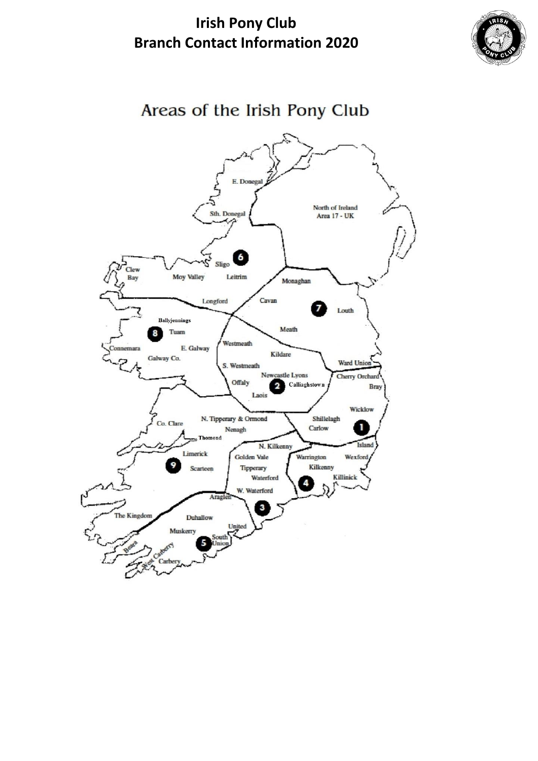

### Areas of the Irish Pony Club

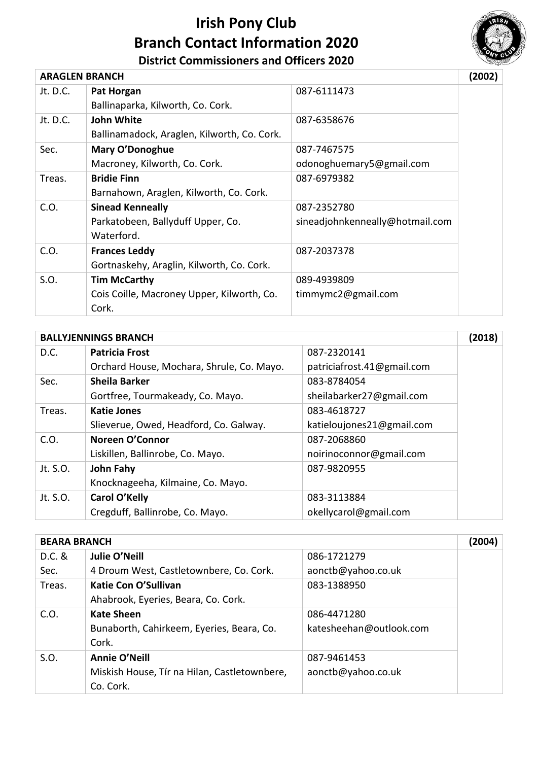

#### **District Commissioners and Officers 2020**

| <b>ARAGLEN BRANCH</b> |                                             |                                 | (2002) |
|-----------------------|---------------------------------------------|---------------------------------|--------|
| Jt. D.C.              | Pat Horgan                                  | 087-6111473                     |        |
|                       | Ballinaparka, Kilworth, Co. Cork.           |                                 |        |
| Jt. D.C.              | <b>John White</b>                           | 087-6358676                     |        |
|                       | Ballinamadock, Araglen, Kilworth, Co. Cork. |                                 |        |
| Sec.                  | <b>Mary O'Donoghue</b>                      | 087-7467575                     |        |
|                       | Macroney, Kilworth, Co. Cork.               | odonoghuemary5@gmail.com        |        |
| Treas.                | <b>Bridie Finn</b>                          | 087-6979382                     |        |
|                       | Barnahown, Araglen, Kilworth, Co. Cork.     |                                 |        |
| C.O.                  | <b>Sinead Kenneally</b>                     | 087-2352780                     |        |
|                       | Parkatobeen, Ballyduff Upper, Co.           | sineadjohnkenneally@hotmail.com |        |
|                       | Waterford.                                  |                                 |        |
| C.O.                  | <b>Frances Leddy</b>                        | 087-2037378                     |        |
|                       | Gortnaskehy, Araglin, Kilworth, Co. Cork.   |                                 |        |
| S.O.                  | <b>Tim McCarthy</b>                         | 089-4939809                     |        |
|                       | Cois Coille, Macroney Upper, Kilworth, Co.  | timmymc2@gmail.com              |        |
|                       | Cork.                                       |                                 |        |

|          | <b>BALLYJENNINGS BRANCH</b>               |                            |  |
|----------|-------------------------------------------|----------------------------|--|
| D.C.     | <b>Patricia Frost</b>                     | 087-2320141                |  |
|          | Orchard House, Mochara, Shrule, Co. Mayo. | patriciafrost.41@gmail.com |  |
| Sec.     | <b>Sheila Barker</b>                      | 083-8784054                |  |
|          | Gortfree, Tourmakeady, Co. Mayo.          | sheilabarker27@gmail.com   |  |
| Treas.   | <b>Katie Jones</b>                        | 083-4618727                |  |
|          | Slieverue, Owed, Headford, Co. Galway.    | katieloujones21@gmail.com  |  |
| C.O.     | Noreen O'Connor                           | 087-2068860                |  |
|          | Liskillen, Ballinrobe, Co. Mayo.          | noirinoconnor@gmail.com    |  |
| Jt. S.O. | John Fahy                                 | 087-9820955                |  |
|          | Knocknageeha, Kilmaine, Co. Mayo.         |                            |  |
| Jt. S.O. | Carol O'Kelly                             | 083-3113884                |  |
|          | Cregduff, Ballinrobe, Co. Mayo.           | okellycarol@gmail.com      |  |

| <b>BEARA BRANCH</b> |                                              |                         | (2004) |
|---------------------|----------------------------------------------|-------------------------|--------|
| D.C. &              | Julie O'Neill                                | 086-1721279             |        |
| Sec.                | 4 Droum West, Castletownbere, Co. Cork.      | aonctb@yahoo.co.uk      |        |
| Treas.              | Katie Con O'Sullivan                         | 083-1388950             |        |
|                     | Ahabrook, Eyeries, Beara, Co. Cork.          |                         |        |
| C.O.                | <b>Kate Sheen</b>                            | 086-4471280             |        |
|                     | Bunaborth, Cahirkeem, Eyeries, Beara, Co.    | katesheehan@outlook.com |        |
|                     | Cork.                                        |                         |        |
| S.O.                | <b>Annie O'Neill</b>                         | 087-9461453             |        |
|                     | Miskish House, Tír na Hilan, Castletownbere, | aonctb@yahoo.co.uk      |        |
|                     | Co. Cork.                                    |                         |        |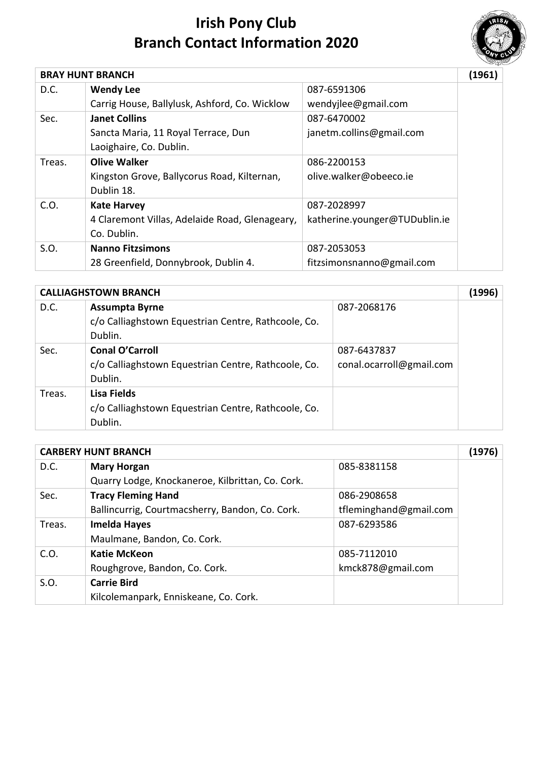

|        | <b>BRAY HUNT BRANCH</b>                        |                               | (1961) |
|--------|------------------------------------------------|-------------------------------|--------|
| D.C.   | <b>Wendy Lee</b>                               | 087-6591306                   |        |
|        | Carrig House, Ballylusk, Ashford, Co. Wicklow  | wendyjlee@gmail.com           |        |
| Sec.   | <b>Janet Collins</b>                           | 087-6470002                   |        |
|        | Sancta Maria, 11 Royal Terrace, Dun            | janetm.collins@gmail.com      |        |
|        | Laoighaire, Co. Dublin.                        |                               |        |
| Treas. | Olive Walker                                   | 086-2200153                   |        |
|        | Kingston Grove, Ballycorus Road, Kilternan,    | olive.walker@obeeco.ie        |        |
|        | Dublin 18.                                     |                               |        |
| C.O.   | <b>Kate Harvey</b>                             | 087-2028997                   |        |
|        | 4 Claremont Villas, Adelaide Road, Glenageary, | katherine.younger@TUDublin.ie |        |
|        | Co. Dublin.                                    |                               |        |
| S.O.   | <b>Nanno Fitzsimons</b>                        | 087-2053053                   |        |
|        | 28 Greenfield, Donnybrook, Dublin 4.           | fitzsimonsnanno@gmail.com     |        |

| <b>CALLIAGHSTOWN BRANCH</b> |                                                     |                          | (1996) |
|-----------------------------|-----------------------------------------------------|--------------------------|--------|
| D.C.                        | <b>Assumpta Byrne</b>                               | 087-2068176              |        |
|                             | c/o Calliaghstown Equestrian Centre, Rathcoole, Co. |                          |        |
|                             | Dublin.                                             |                          |        |
| Sec.                        | <b>Conal O'Carroll</b>                              | 087-6437837              |        |
|                             | c/o Calliaghstown Equestrian Centre, Rathcoole, Co. | conal.ocarroll@gmail.com |        |
|                             | Dublin.                                             |                          |        |
| Treas.                      | Lisa Fields                                         |                          |        |
|                             | c/o Calliaghstown Equestrian Centre, Rathcoole, Co. |                          |        |
|                             | Dublin.                                             |                          |        |

|        | <b>CARBERY HUNT BRANCH</b>                       |                        | (1976) |
|--------|--------------------------------------------------|------------------------|--------|
| D.C.   | <b>Mary Horgan</b>                               | 085-8381158            |        |
|        | Quarry Lodge, Knockaneroe, Kilbrittan, Co. Cork. |                        |        |
| Sec.   | <b>Tracy Fleming Hand</b>                        | 086-2908658            |        |
|        | Ballincurrig, Courtmacsherry, Bandon, Co. Cork.  | tfleminghand@gmail.com |        |
| Treas. | <b>Imelda Hayes</b>                              | 087-6293586            |        |
|        | Maulmane, Bandon, Co. Cork.                      |                        |        |
| C.O.   | <b>Katie McKeon</b>                              | 085-7112010            |        |
|        | Roughgrove, Bandon, Co. Cork.                    | kmck878@gmail.com      |        |
| S.O.   | <b>Carrie Bird</b>                               |                        |        |
|        | Kilcolemanpark, Enniskeane, Co. Cork.            |                        |        |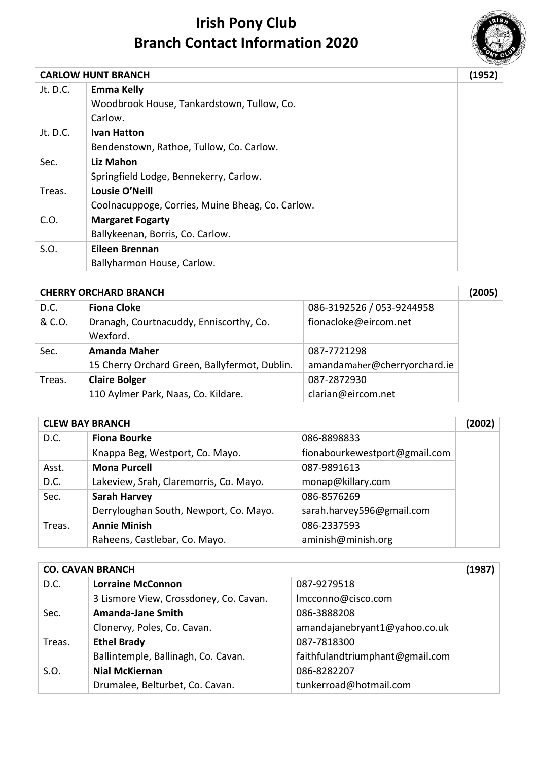

|          | <b>CARLOW HUNT BRANCH</b>                        | (1952) |
|----------|--------------------------------------------------|--------|
| Jt. D.C. | <b>Emma Kelly</b>                                |        |
|          | Woodbrook House, Tankardstown, Tullow, Co.       |        |
|          | Carlow.                                          |        |
| Jt. D.C. | <b>Ivan Hatton</b>                               |        |
|          | Bendenstown, Rathoe, Tullow, Co. Carlow.         |        |
| Sec.     | Liz Mahon                                        |        |
|          | Springfield Lodge, Bennekerry, Carlow.           |        |
| Treas.   | Lousie O'Neill                                   |        |
|          | Coolnacuppoge, Corries, Muine Bheag, Co. Carlow. |        |
| C.O.     | <b>Margaret Fogarty</b>                          |        |
|          | Ballykeenan, Borris, Co. Carlow.                 |        |
| S.O.     | Eileen Brennan                                   |        |
|          | Ballyharmon House, Carlow.                       |        |

| <b>CHERRY ORCHARD BRANCH</b> |                                                     |                              | (2005) |
|------------------------------|-----------------------------------------------------|------------------------------|--------|
| D.C.                         | <b>Fiona Cloke</b>                                  | 086-3192526 / 053-9244958    |        |
| & C.O.                       | Dranagh, Courtnacuddy, Enniscorthy, Co.<br>Wexford. | fionacloke@eircom.net        |        |
| Sec.                         | <b>Amanda Maher</b>                                 | 087-7721298                  |        |
|                              | 15 Cherry Orchard Green, Ballyfermot, Dublin.       | amandamaher@cherryorchard.ie |        |
| Treas.                       | <b>Claire Bolger</b>                                | 087-2872930                  |        |
|                              | 110 Aylmer Park, Naas, Co. Kildare.                 | clarian@eircom.net           |        |

| <b>CLEW BAY BRANCH</b> |                                        | (2002)                        |  |
|------------------------|----------------------------------------|-------------------------------|--|
| D.C.                   | <b>Fiona Bourke</b>                    | 086-8898833                   |  |
|                        | Knappa Beg, Westport, Co. Mayo.        | fionabourkewestport@gmail.com |  |
| Asst.                  | <b>Mona Purcell</b>                    | 087-9891613                   |  |
| D.C.                   | Lakeview, Srah, Claremorris, Co. Mayo. | monap@killary.com             |  |
| Sec.                   | <b>Sarah Harvey</b>                    | 086-8576269                   |  |
|                        | Derryloughan South, Newport, Co. Mayo. | sarah.harvey596@gmail.com     |  |
| Treas.                 | <b>Annie Minish</b>                    | 086-2337593                   |  |
|                        | Raheens, Castlebar, Co. Mayo.          | aminish@minish.org            |  |

| <b>CO. CAVAN BRANCH</b> |                                        | (1987)                          |  |
|-------------------------|----------------------------------------|---------------------------------|--|
| D.C.                    | <b>Lorraine McConnon</b>               | 087-9279518                     |  |
|                         | 3 Lismore View, Crossdoney, Co. Cavan. | Imcconno@cisco.com              |  |
| Sec.                    | <b>Amanda-Jane Smith</b>               | 086-3888208                     |  |
|                         | Clonervy, Poles, Co. Cavan.            | amandajanebryant1@yahoo.co.uk   |  |
| Treas.                  | <b>Ethel Brady</b>                     | 087-7818300                     |  |
|                         | Ballintemple, Ballinagh, Co. Cavan.    | faithfulandtriumphant@gmail.com |  |
| S.O.                    | <b>Nial McKiernan</b>                  | 086-8282207                     |  |
|                         | Drumalee, Belturbet, Co. Cavan.        | tunkerroad@hotmail.com          |  |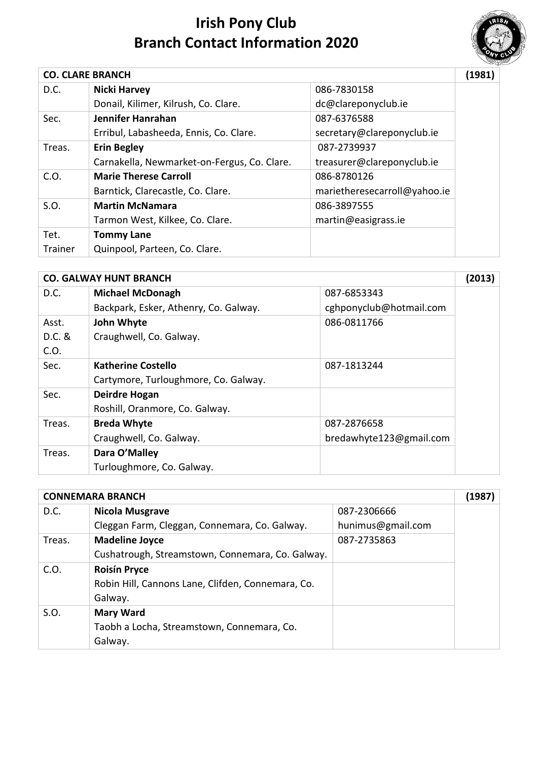

| <b>CO. CLARE BRANCH</b> |                                             |                              | (1981) |
|-------------------------|---------------------------------------------|------------------------------|--------|
| D.C.                    | <b>Nicki Harvey</b>                         | 086-7830158                  |        |
|                         | Donail, Kilimer, Kilrush, Co. Clare.        | dc@clareponyclub.ie          |        |
| Sec.                    | Jennifer Hanrahan                           | 087-6376588                  |        |
|                         | Erribul, Labasheeda, Ennis, Co. Clare.      | secretary@clareponyclub.ie   |        |
| Treas.                  | <b>Erin Begley</b>                          | 087-2739937                  |        |
|                         | Carnakella, Newmarket-on-Fergus, Co. Clare. | treasurer@clareponyclub.ie   |        |
| C.O.                    | <b>Marie Therese Carroll</b>                | 086-8780126                  |        |
|                         | Barntick, Clarecastle, Co. Clare.           | marietheresecarroll@yahoo.ie |        |
| S.O.                    | <b>Martin McNamara</b>                      | 086-3897555                  |        |
|                         | Tarmon West, Kilkee, Co. Clare.             | martin@easigrass.ie          |        |
| Tet.                    | <b>Tommy Lane</b>                           |                              |        |
| Trainer                 | Quinpool, Parteen, Co. Clare.               |                              |        |

|          | <b>CO. GALWAY HUNT BRANCH</b>         |                         | (2013) |
|----------|---------------------------------------|-------------------------|--------|
| D.C.     | <b>Michael McDonagh</b>               | 087-6853343             |        |
|          | Backpark, Esker, Athenry, Co. Galway. | cghponyclub@hotmail.com |        |
| Asst.    | John Whyte                            | 086-0811766             |        |
| $D.C.$ & | Craughwell, Co. Galway.               |                         |        |
| C.O.     |                                       |                         |        |
| Sec.     | <b>Katherine Costello</b>             | 087-1813244             |        |
|          | Cartymore, Turloughmore, Co. Galway.  |                         |        |
| Sec.     | Deirdre Hogan                         |                         |        |
|          | Roshill, Oranmore, Co. Galway.        |                         |        |
| Treas.   | <b>Breda Whyte</b>                    | 087-2876658             |        |
|          | Craughwell, Co. Galway.               | bredawhyte123@gmail.com |        |
| Treas.   | Dara O'Malley                         |                         |        |
|          | Turloughmore, Co. Galway.             |                         |        |

| <b>CONNEMARA BRANCH</b> |                                                   |                   | (1987) |
|-------------------------|---------------------------------------------------|-------------------|--------|
| D.C.                    | <b>Nicola Musgrave</b>                            | 087-2306666       |        |
|                         | Cleggan Farm, Cleggan, Connemara, Co. Galway.     | hunimus@gmail.com |        |
| Treas.                  | <b>Madeline Joyce</b>                             | 087-2735863       |        |
|                         | Cushatrough, Streamstown, Connemara, Co. Galway.  |                   |        |
| C.O.                    | <b>Roisín Pryce</b>                               |                   |        |
|                         | Robin Hill, Cannons Lane, Clifden, Connemara, Co. |                   |        |
|                         | Galway.                                           |                   |        |
| S.O.                    | <b>Mary Ward</b>                                  |                   |        |
|                         | Taobh a Locha, Streamstown, Connemara, Co.        |                   |        |
|                         | Galway.                                           |                   |        |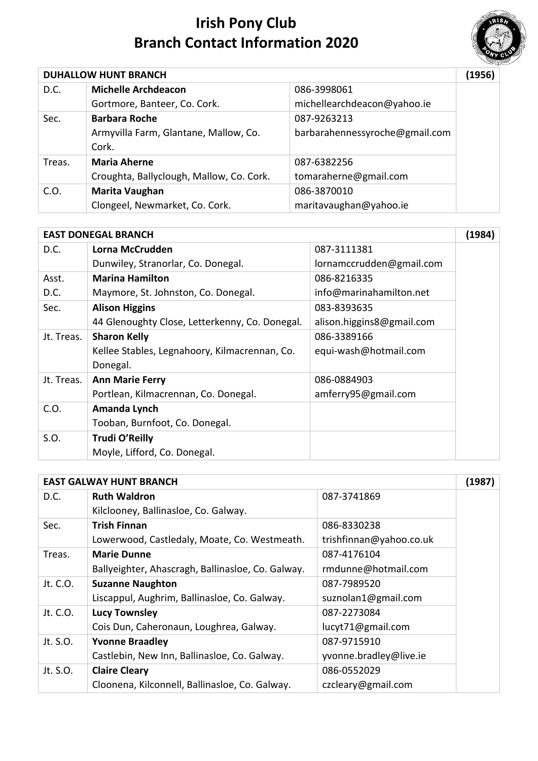

|        | <b>DUHALLOW HUNT BRANCH</b>              |                                | (1956) |
|--------|------------------------------------------|--------------------------------|--------|
| D.C.   | <b>Michelle Archdeacon</b>               | 086-3998061                    |        |
|        | Gortmore, Banteer, Co. Cork.             | michellearchdeacon@yahoo.ie    |        |
| Sec.   | <b>Barbara Roche</b>                     | 087-9263213                    |        |
|        | Armyvilla Farm, Glantane, Mallow, Co.    | barbarahennessyroche@gmail.com |        |
|        | Cork.                                    |                                |        |
| Treas. | <b>Maria Aherne</b>                      | 087-6382256                    |        |
|        | Croughta, Ballyclough, Mallow, Co. Cork. | tomaraherne@gmail.com          |        |
| C.O.   | Marita Vaughan                           | 086-3870010                    |        |
|        | Clongeel, Newmarket, Co. Cork.           | maritavaughan@yahoo.ie         |        |

|            | <b>EAST DONEGAL BRANCH</b>                     |                           | (1984) |
|------------|------------------------------------------------|---------------------------|--------|
| D.C.       | Lorna McCrudden                                | 087-3111381               |        |
|            | Dunwiley, Stranorlar, Co. Donegal.             | lornamccrudden@gmail.com  |        |
| Asst.      | <b>Marina Hamilton</b>                         | 086-8216335               |        |
| D.C.       | Maymore, St. Johnston, Co. Donegal.            | info@marinahamilton.net   |        |
| Sec.       | <b>Alison Higgins</b>                          | 083-8393635               |        |
|            | 44 Glenoughty Close, Letterkenny, Co. Donegal. | alison.higgins8@gmail.com |        |
| Jt. Treas. | <b>Sharon Kelly</b>                            | 086-3389166               |        |
|            | Kellee Stables, Legnahoory, Kilmacrennan, Co.  | equi-wash@hotmail.com     |        |
|            | Donegal.                                       |                           |        |
| Jt. Treas. | <b>Ann Marie Ferry</b>                         | 086-0884903               |        |
|            | Portlean, Kilmacrennan, Co. Donegal.           | amferry95@gmail.com       |        |
| C.O.       | Amanda Lynch                                   |                           |        |
|            | Tooban, Burnfoot, Co. Donegal.                 |                           |        |
| S.O.       | Trudi O'Reilly                                 |                           |        |
|            | Moyle, Lifford, Co. Donegal.                   |                           |        |

|          | <b>EAST GALWAY HUNT BRANCH</b>                    |                         | (1987) |
|----------|---------------------------------------------------|-------------------------|--------|
| D.C.     | <b>Ruth Waldron</b>                               | 087-3741869             |        |
|          | Kilclooney, Ballinasloe, Co. Galway.              |                         |        |
| Sec.     | <b>Trish Finnan</b>                               | 086-8330238             |        |
|          | Lowerwood, Castledaly, Moate, Co. Westmeath.      | trishfinnan@yahoo.co.uk |        |
| Treas.   | <b>Marie Dunne</b>                                | 087-4176104             |        |
|          | Ballyeighter, Ahascragh, Ballinasloe, Co. Galway. | rmdunne@hotmail.com     |        |
| Jt. C.O. | <b>Suzanne Naughton</b>                           | 087-7989520             |        |
|          | Liscappul, Aughrim, Ballinasloe, Co. Galway.      | suznolan1@gmail.com     |        |
| Jt. C.O. | <b>Lucy Townsley</b>                              | 087-2273084             |        |
|          | Cois Dun, Caheronaun, Loughrea, Galway.           | lucyt71@gmail.com       |        |
| Jt. S.O. | <b>Yvonne Braadley</b>                            | 087-9715910             |        |
|          | Castlebin, New Inn, Ballinasloe, Co. Galway.      | yvonne.bradley@live.ie  |        |
| Jt. S.O. | <b>Claire Cleary</b>                              | 086-0552029             |        |
|          | Cloonena, Kilconnell, Ballinasloe, Co. Galway.    | czcleary@gmail.com      |        |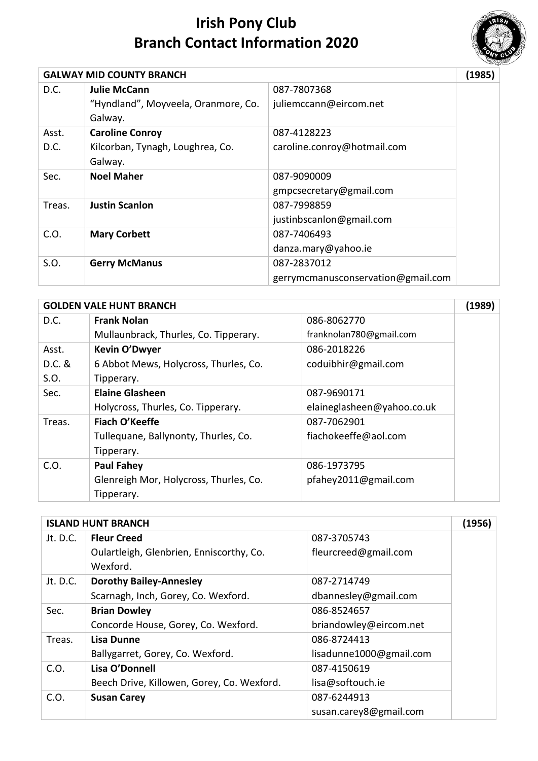

|        | <b>GALWAY MID COUNTY BRANCH</b>     |                                    | (1985) |
|--------|-------------------------------------|------------------------------------|--------|
| D.C.   | Julie McCann                        | 087-7807368                        |        |
|        | "Hyndland", Moyveela, Oranmore, Co. | juliemccann@eircom.net             |        |
|        | Galway.                             |                                    |        |
| Asst.  | <b>Caroline Conroy</b>              | 087-4128223                        |        |
| D.C.   | Kilcorban, Tynagh, Loughrea, Co.    | caroline.conroy@hotmail.com        |        |
|        | Galway.                             |                                    |        |
| Sec.   | <b>Noel Maher</b>                   | 087-9090009                        |        |
|        |                                     | gmpcsecretary@gmail.com            |        |
| Treas. | <b>Justin Scanlon</b>               | 087-7998859                        |        |
|        |                                     | justinbscanlon@gmail.com           |        |
| C.O.   | <b>Mary Corbett</b>                 | 087-7406493                        |        |
|        |                                     | danza.mary@yahoo.ie                |        |
| S.O.   | <b>Gerry McManus</b>                | 087-2837012                        |        |
|        |                                     | gerrymcmanusconservation@gmail.com |        |

|          | <b>GOLDEN VALE HUNT BRANCH</b>         |                            | (1989) |
|----------|----------------------------------------|----------------------------|--------|
| D.C.     | <b>Frank Nolan</b>                     | 086-8062770                |        |
|          | Mullaunbrack, Thurles, Co. Tipperary.  | franknolan780@gmail.com    |        |
| Asst.    | Kevin O'Dwyer                          | 086-2018226                |        |
| $D.C.$ & | 6 Abbot Mews, Holycross, Thurles, Co.  | coduibhir@gmail.com        |        |
| S.O.     | Tipperary.                             |                            |        |
| Sec.     | <b>Elaine Glasheen</b>                 | 087-9690171                |        |
|          | Holycross, Thurles, Co. Tipperary.     | elaineglasheen@yahoo.co.uk |        |
| Treas.   | Fiach O'Keeffe                         | 087-7062901                |        |
|          | Tullequane, Ballynonty, Thurles, Co.   | fiachokeeffe@aol.com       |        |
|          | Tipperary.                             |                            |        |
| C.O.     | <b>Paul Fahey</b>                      | 086-1973795                |        |
|          | Glenreigh Mor, Holycross, Thurles, Co. | pfahey2011@gmail.com       |        |
|          | Tipperary.                             |                            |        |

|            | <b>ISLAND HUNT BRANCH</b>                            |                         | (1956) |
|------------|------------------------------------------------------|-------------------------|--------|
| Jt. $D.C.$ | <b>Fleur Creed</b>                                   | 087-3705743             |        |
|            | Oulartleigh, Glenbrien, Enniscorthy, Co.<br>Wexford. | fleurcreed@gmail.com    |        |
| Jt. D.C.   | <b>Dorothy Bailey-Annesley</b>                       | 087-2714749             |        |
|            | Scarnagh, Inch, Gorey, Co. Wexford.                  | dbannesley@gmail.com    |        |
| Sec.       | <b>Brian Dowley</b>                                  | 086-8524657             |        |
|            | Concorde House, Gorey, Co. Wexford.                  | briandowley@eircom.net  |        |
| Treas.     | Lisa Dunne                                           | 086-8724413             |        |
|            | Ballygarret, Gorey, Co. Wexford.                     | lisadunne1000@gmail.com |        |
| C.O.       | Lisa O'Donnell                                       | 087-4150619             |        |
|            | Beech Drive, Killowen, Gorey, Co. Wexford.           | lisa@softouch.ie        |        |
| C.O.       | <b>Susan Carey</b>                                   | 087-6244913             |        |
|            |                                                      | susan.carey8@gmail.com  |        |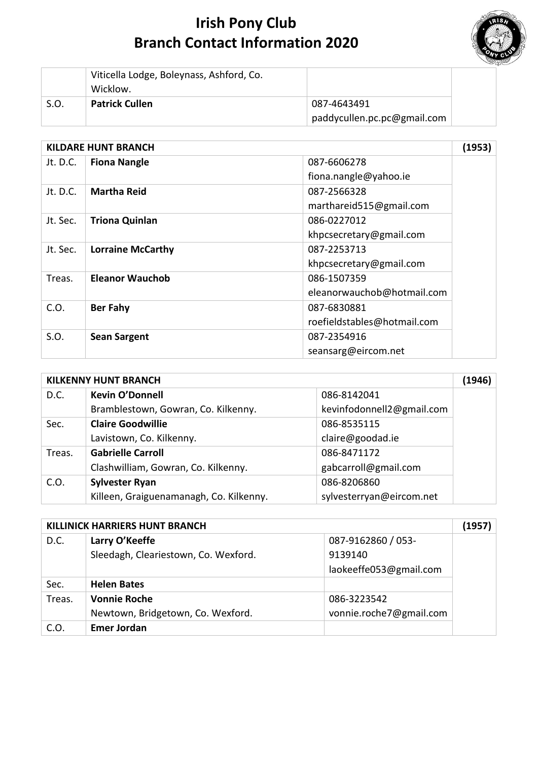

|      | Viticella Lodge, Boleynass, Ashford, Co.<br>Wicklow. |                             |
|------|------------------------------------------------------|-----------------------------|
| S.O. | <b>Patrick Cullen</b>                                | 087-4643491                 |
|      |                                                      | paddycullen.pc.pc@gmail.com |

| <b>KILDARE HUNT BRANCH</b> |                          |                             | (1953) |
|----------------------------|--------------------------|-----------------------------|--------|
| Jt. D.C.                   | <b>Fiona Nangle</b>      | 087-6606278                 |        |
|                            |                          | fiona.nangle@yahoo.ie       |        |
| Jt. D.C.                   | <b>Martha Reid</b>       | 087-2566328                 |        |
|                            |                          | marthareid515@gmail.com     |        |
| Jt. Sec.                   | <b>Triona Quinlan</b>    | 086-0227012                 |        |
|                            |                          | khpcsecretary@gmail.com     |        |
| Jt. Sec.                   | <b>Lorraine McCarthy</b> | 087-2253713                 |        |
|                            |                          | khpcsecretary@gmail.com     |        |
| Treas.                     | Eleanor Wauchob          | 086-1507359                 |        |
|                            |                          | eleanorwauchob@hotmail.com  |        |
| C.O.                       | <b>Ber Fahy</b>          | 087-6830881                 |        |
|                            |                          | roefieldstables@hotmail.com |        |
| S.O.                       | <b>Sean Sargent</b>      | 087-2354916                 |        |
|                            |                          | seansarg@eircom.net         |        |

|        | <b>KILKENNY HUNT BRANCH</b>             |                           | (1946) |
|--------|-----------------------------------------|---------------------------|--------|
| D.C.   | <b>Kevin O'Donnell</b>                  | 086-8142041               |        |
|        | Bramblestown, Gowran, Co. Kilkenny.     | kevinfodonnell2@gmail.com |        |
| Sec.   | <b>Claire Goodwillie</b>                | 086-8535115               |        |
|        | Lavistown, Co. Kilkenny.                | claire@goodad.ie          |        |
| Treas. | <b>Gabrielle Carroll</b>                | 086-8471172               |        |
|        | Clashwilliam, Gowran, Co. Kilkenny.     | gabcarroll@gmail.com      |        |
| C.O.   | <b>Sylvester Ryan</b>                   | 086-8206860               |        |
|        | Killeen, Graiguenamanagh, Co. Kilkenny. | sylvesterryan@eircom.net  |        |

|        | KILLINICK HARRIERS HUNT BRANCH       |                         |  |
|--------|--------------------------------------|-------------------------|--|
| D.C.   | Larry O'Keeffe                       | 087-9162860 / 053-      |  |
|        | Sleedagh, Cleariestown, Co. Wexford. | 9139140                 |  |
|        |                                      | laokeeffe053@gmail.com  |  |
| Sec.   | <b>Helen Bates</b>                   |                         |  |
| Treas. | <b>Vonnie Roche</b>                  | 086-3223542             |  |
|        | Newtown, Bridgetown, Co. Wexford.    | vonnie.roche7@gmail.com |  |
| C.O.   | <b>Emer Jordan</b>                   |                         |  |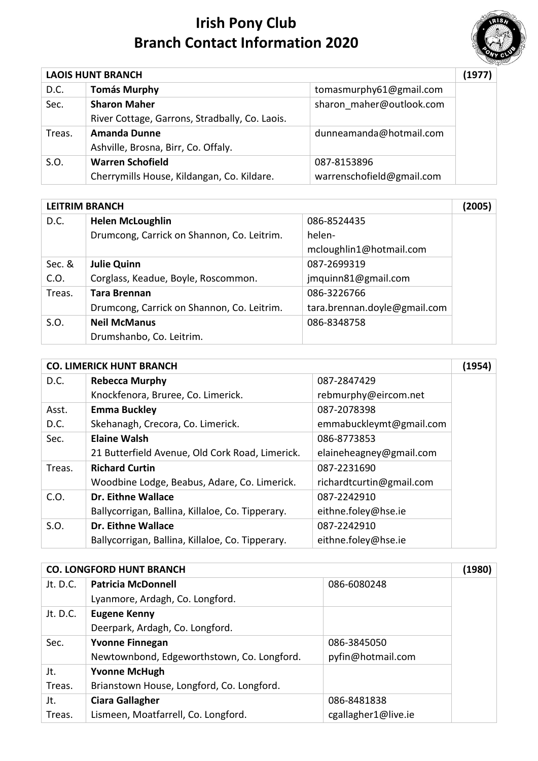

| <b>LAOIS HUNT BRANCH</b> |                                                |                           | (1977) |
|--------------------------|------------------------------------------------|---------------------------|--------|
| D.C.                     | <b>Tomás Murphy</b>                            | tomasmurphy61@gmail.com   |        |
| Sec.                     | <b>Sharon Maher</b>                            | sharon maher@outlook.com  |        |
|                          | River Cottage, Garrons, Stradbally, Co. Laois. |                           |        |
| Treas.                   | <b>Amanda Dunne</b>                            | dunneamanda@hotmail.com   |        |
|                          | Ashville, Brosna, Birr, Co. Offaly.            |                           |        |
| S.O.                     | <b>Warren Schofield</b>                        | 087-8153896               |        |
|                          | Cherrymills House, Kildangan, Co. Kildare.     | warrenschofield@gmail.com |        |

|        | <b>LEITRIM BRANCH</b>                      |                              |  |
|--------|--------------------------------------------|------------------------------|--|
| D.C.   | <b>Helen McLoughlin</b>                    | 086-8524435                  |  |
|        | Drumcong, Carrick on Shannon, Co. Leitrim. | helen-                       |  |
|        |                                            | mcloughlin1@hotmail.com      |  |
| Sec. & | <b>Julie Quinn</b>                         | 087-2699319                  |  |
| C.O.   | Corglass, Keadue, Boyle, Roscommon.        | jmquinn81@gmail.com          |  |
| Treas. | <b>Tara Brennan</b>                        | 086-3226766                  |  |
|        | Drumcong, Carrick on Shannon, Co. Leitrim. | tara.brennan.doyle@gmail.com |  |
| S.O.   | <b>Neil McManus</b>                        | 086-8348758                  |  |
|        | Drumshanbo, Co. Leitrim.                   |                              |  |

| <b>CO. LIMERICK HUNT BRANCH</b> |                                                  |                          | (1954) |
|---------------------------------|--------------------------------------------------|--------------------------|--------|
| D.C.                            | <b>Rebecca Murphy</b>                            | 087-2847429              |        |
|                                 | Knockfenora, Bruree, Co. Limerick.               | rebmurphy@eircom.net     |        |
| Asst.                           | <b>Emma Buckley</b>                              | 087-2078398              |        |
| D.C.                            | Skehanagh, Crecora, Co. Limerick.                | emmabuckleymt@gmail.com  |        |
| Sec.                            | <b>Elaine Walsh</b>                              | 086-8773853              |        |
|                                 | 21 Butterfield Avenue, Old Cork Road, Limerick.  | elaineheagney@gmail.com  |        |
| Treas.                          | <b>Richard Curtin</b>                            | 087-2231690              |        |
|                                 | Woodbine Lodge, Beabus, Adare, Co. Limerick.     | richardtcurtin@gmail.com |        |
| C.O.                            | <b>Dr. Eithne Wallace</b>                        | 087-2242910              |        |
|                                 | Ballycorrigan, Ballina, Killaloe, Co. Tipperary. | eithne.foley@hse.ie      |        |
| S.O.                            | Dr. Eithne Wallace                               | 087-2242910              |        |
|                                 | Ballycorrigan, Ballina, Killaloe, Co. Tipperary. | eithne.foley@hse.ie      |        |

| <b>CO. LONGFORD HUNT BRANCH</b> |                                            |                     | (1980) |
|---------------------------------|--------------------------------------------|---------------------|--------|
| Jt. D.C.                        | <b>Patricia McDonnell</b>                  | 086-6080248         |        |
|                                 | Lyanmore, Ardagh, Co. Longford.            |                     |        |
| Jt. D.C.                        | <b>Eugene Kenny</b>                        |                     |        |
|                                 | Deerpark, Ardagh, Co. Longford.            |                     |        |
| Sec.                            | <b>Yvonne Finnegan</b>                     | 086-3845050         |        |
|                                 | Newtownbond, Edgeworthstown, Co. Longford. | pyfin@hotmail.com   |        |
| Jt.                             | <b>Yvonne McHugh</b>                       |                     |        |
| Treas.                          | Brianstown House, Longford, Co. Longford.  |                     |        |
| Jt.                             | <b>Ciara Gallagher</b>                     | 086-8481838         |        |
| Treas.                          | Lismeen, Moatfarrell, Co. Longford.        | cgallagher1@live.ie |        |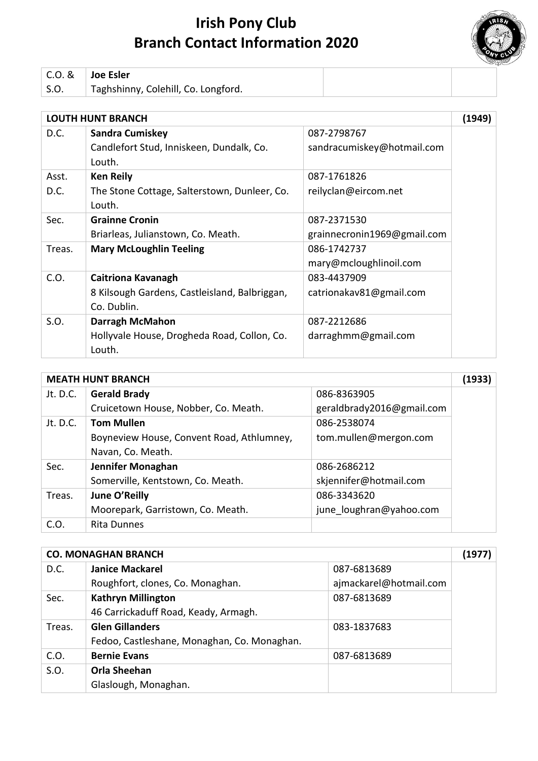

| C.O. & | $^{\shortmid}$ Joe Esler            |  |
|--------|-------------------------------------|--|
| S.O.   | Taghshinny, Colehill, Co. Longford. |  |

|        | <b>LOUTH HUNT BRANCH</b>                      |                             | (1949) |
|--------|-----------------------------------------------|-----------------------------|--------|
| D.C.   | <b>Sandra Cumiskey</b>                        | 087-2798767                 |        |
|        | Candlefort Stud, Inniskeen, Dundalk, Co.      | sandracumiskey@hotmail.com  |        |
|        | Louth.                                        |                             |        |
| Asst.  | <b>Ken Reily</b>                              | 087-1761826                 |        |
| D.C.   | The Stone Cottage, Salterstown, Dunleer, Co.  | reilyclan@eircom.net        |        |
|        | Louth.                                        |                             |        |
| Sec.   | <b>Grainne Cronin</b>                         | 087-2371530                 |        |
|        | Briarleas, Julianstown, Co. Meath.            | grainnecronin1969@gmail.com |        |
| Treas. | <b>Mary McLoughlin Teeling</b>                | 086-1742737                 |        |
|        |                                               | mary@mcloughlinoil.com      |        |
| C.O.   | Caitriona Kavanagh                            | 083-4437909                 |        |
|        | 8 Kilsough Gardens, Castleisland, Balbriggan, | catrionakav81@gmail.com     |        |
|        | Co. Dublin.                                   |                             |        |
| S.O.   | <b>Darragh McMahon</b>                        | 087-2212686                 |        |
|        | Hollyvale House, Drogheda Road, Collon, Co.   | darraghmm@gmail.com         |        |
|        | Louth.                                        |                             |        |

|          | <b>MEATH HUNT BRANCH</b>                  |                           |  |
|----------|-------------------------------------------|---------------------------|--|
| Jt. D.C. | <b>Gerald Brady</b>                       | 086-8363905               |  |
|          | Cruicetown House, Nobber, Co. Meath.      | geraldbrady2016@gmail.com |  |
| Jt. D.C. | <b>Tom Mullen</b>                         | 086-2538074               |  |
|          | Boyneview House, Convent Road, Athlumney, | tom.mullen@mergon.com     |  |
|          | Navan, Co. Meath.                         |                           |  |
| Sec.     | Jennifer Monaghan                         | 086-2686212               |  |
|          | Somerville, Kentstown, Co. Meath.         | skjennifer@hotmail.com    |  |
| Treas.   | June O'Reilly                             | 086-3343620               |  |
|          | Moorepark, Garristown, Co. Meath.         | june_loughran@yahoo.com   |  |
| C.O.     | <b>Rita Dunnes</b>                        |                           |  |

|        | <b>CO. MONAGHAN BRANCH</b>                  |                        | (1977) |
|--------|---------------------------------------------|------------------------|--------|
| D.C.   | <b>Janice Mackarel</b>                      | 087-6813689            |        |
|        | Roughfort, clones, Co. Monaghan.            | ajmackarel@hotmail.com |        |
| Sec.   | <b>Kathryn Millington</b>                   | 087-6813689            |        |
|        | 46 Carrickaduff Road, Keady, Armagh.        |                        |        |
| Treas. | <b>Glen Gillanders</b>                      | 083-1837683            |        |
|        | Fedoo, Castleshane, Monaghan, Co. Monaghan. |                        |        |
| C.O.   | <b>Bernie Evans</b>                         | 087-6813689            |        |
| S.O.   | <b>Orla Sheehan</b>                         |                        |        |
|        | Glaslough, Monaghan.                        |                        |        |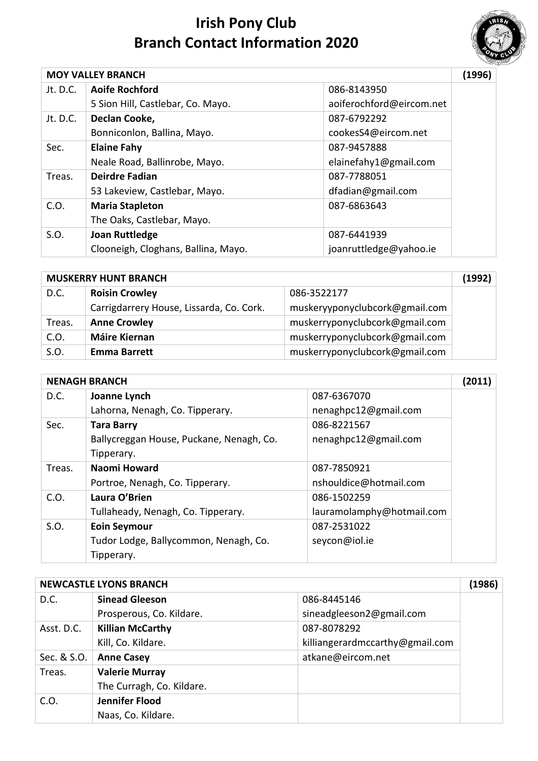

|          | <b>MOY VALLEY BRANCH</b>            |                          | (1996) |
|----------|-------------------------------------|--------------------------|--------|
| Jt. D.C. | <b>Aoife Rochford</b>               | 086-8143950              |        |
|          | 5 Sion Hill, Castlebar, Co. Mayo.   | aoiferochford@eircom.net |        |
| Jt. D.C. | Declan Cooke,                       | 087-6792292              |        |
|          | Bonniconlon, Ballina, Mayo.         | cookesS4@eircom.net      |        |
| Sec.     | <b>Elaine Fahy</b>                  | 087-9457888              |        |
|          | Neale Road, Ballinrobe, Mayo.       | elainefahy1@gmail.com    |        |
| Treas.   | <b>Deirdre Fadian</b>               | 087-7788051              |        |
|          | 53 Lakeview, Castlebar, Mayo.       | dfadian@gmail.com        |        |
| C.O.     | <b>Maria Stapleton</b>              | 087-6863643              |        |
|          | The Oaks, Castlebar, Mayo.          |                          |        |
| S.O.     | <b>Joan Ruttledge</b>               | 087-6441939              |        |
|          | Clooneigh, Cloghans, Ballina, Mayo. | joanruttledge@yahoo.ie   |        |

| <b>MUSKERRY HUNT BRANCH</b> |                                          |                                | (1992) |
|-----------------------------|------------------------------------------|--------------------------------|--------|
| D.C.                        | <b>Roisin Crowley</b>                    | 086-3522177                    |        |
|                             | Carrigdarrery House, Lissarda, Co. Cork. | muskeryyponyclubcork@gmail.com |        |
| Treas.                      | <b>Anne Crowley</b>                      | muskerryponyclubcork@gmail.com |        |
| C.O.                        | <b>Máire Kiernan</b>                     | muskerryponyclubcork@gmail.com |        |
| S.O.                        | <b>Emma Barrett</b>                      | muskerryponyclubcork@gmail.com |        |

|        | <b>NENAGH BRANCH</b>                     |                           | (2011) |
|--------|------------------------------------------|---------------------------|--------|
| D.C.   | Joanne Lynch                             | 087-6367070               |        |
|        | Lahorna, Nenagh, Co. Tipperary.          | nenaghpc12@gmail.com      |        |
| Sec.   | <b>Tara Barry</b>                        | 086-8221567               |        |
|        | Ballycreggan House, Puckane, Nenagh, Co. | nenaghpc12@gmail.com      |        |
|        | Tipperary.                               |                           |        |
| Treas. | Naomi Howard                             | 087-7850921               |        |
|        | Portroe, Nenagh, Co. Tipperary.          | nshouldice@hotmail.com    |        |
| C.O.   | Laura O'Brien                            | 086-1502259               |        |
|        | Tullaheady, Nenagh, Co. Tipperary.       | lauramolamphy@hotmail.com |        |
| S.O.   | <b>Eoin Seymour</b>                      | 087-2531022               |        |
|        | Tudor Lodge, Ballycommon, Nenagh, Co.    | seycon@iol.ie             |        |
|        | Tipperary.                               |                           |        |

| <b>NEWCASTLE LYONS BRANCH</b> |                           |                                 | (1986) |
|-------------------------------|---------------------------|---------------------------------|--------|
| D.C.                          | <b>Sinead Gleeson</b>     | 086-8445146                     |        |
|                               | Prosperous, Co. Kildare.  | sineadgleeson2@gmail.com        |        |
| Asst. D.C.                    | <b>Killian McCarthy</b>   | 087-8078292                     |        |
|                               | Kill, Co. Kildare.        | killiangerardmccarthy@gmail.com |        |
| Sec. & S.O.                   | <b>Anne Casey</b>         | atkane@eircom.net               |        |
| Treas.                        | <b>Valerie Murray</b>     |                                 |        |
|                               | The Curragh, Co. Kildare. |                                 |        |
| C.O.                          | Jennifer Flood            |                                 |        |
|                               | Naas, Co. Kildare.        |                                 |        |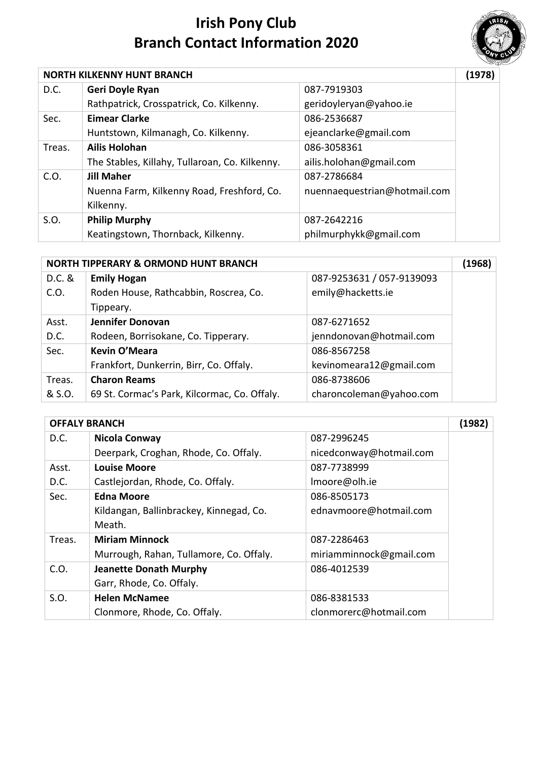

|        | <b>NORTH KILKENNY HUNT BRANCH</b>              |                              |  |
|--------|------------------------------------------------|------------------------------|--|
| D.C.   | Geri Doyle Ryan                                | 087-7919303                  |  |
|        | Rathpatrick, Crosspatrick, Co. Kilkenny.       | geridoyleryan@yahoo.ie       |  |
| Sec.   | <b>Eimear Clarke</b>                           | 086-2536687                  |  |
|        | Huntstown, Kilmanagh, Co. Kilkenny.            | ejeanclarke@gmail.com        |  |
| Treas. | <b>Ailis Holohan</b>                           | 086-3058361                  |  |
|        | The Stables, Killahy, Tullaroan, Co. Kilkenny. | ailis.holohan@gmail.com      |  |
| C.O.   | <b>Jill Maher</b>                              | 087-2786684                  |  |
|        | Nuenna Farm, Kilkenny Road, Freshford, Co.     | nuennaequestrian@hotmail.com |  |
|        | Kilkenny.                                      |                              |  |
| S.O.   | <b>Philip Murphy</b>                           | 087-2642216                  |  |
|        | Keatingstown, Thornback, Kilkenny.             | philmurphykk@gmail.com       |  |

| <b>NORTH TIPPERARY &amp; ORMOND HUNT BRANCH</b> |                                              |                           | (1968) |
|-------------------------------------------------|----------------------------------------------|---------------------------|--------|
| D.C. &                                          | <b>Emily Hogan</b>                           | 087-9253631 / 057-9139093 |        |
| C.O.                                            | Roden House, Rathcabbin, Roscrea, Co.        | emily@hacketts.ie         |        |
|                                                 | Tippeary.                                    |                           |        |
| Asst.                                           | Jennifer Donovan                             | 087-6271652               |        |
| D.C.                                            | Rodeen, Borrisokane, Co. Tipperary.          | jenndonovan@hotmail.com   |        |
| Sec.                                            | <b>Kevin O'Meara</b>                         | 086-8567258               |        |
|                                                 | Frankfort, Dunkerrin, Birr, Co. Offaly.      | kevinomeara12@gmail.com   |        |
| Treas.                                          | <b>Charon Reams</b>                          | 086-8738606               |        |
| & S.O.                                          | 69 St. Cormac's Park, Kilcormac, Co. Offaly. | charoncoleman@yahoo.com   |        |

| <b>OFFALY BRANCH</b> |                                         |                         | (1982) |
|----------------------|-----------------------------------------|-------------------------|--------|
| D.C.                 | Nicola Conway                           | 087-2996245             |        |
|                      | Deerpark, Croghan, Rhode, Co. Offaly.   | nicedconway@hotmail.com |        |
| Asst.                | <b>Louise Moore</b>                     | 087-7738999             |        |
| D.C.                 | Castlejordan, Rhode, Co. Offaly.        | Imoore@olh.ie           |        |
| Sec.                 | <b>Edna Moore</b>                       | 086-8505173             |        |
|                      | Kildangan, Ballinbrackey, Kinnegad, Co. | ednavmoore@hotmail.com  |        |
|                      | Meath.                                  |                         |        |
| Treas.               | <b>Miriam Minnock</b>                   | 087-2286463             |        |
|                      | Murrough, Rahan, Tullamore, Co. Offaly. | miriamminnock@gmail.com |        |
| C.O.                 | <b>Jeanette Donath Murphy</b>           | 086-4012539             |        |
|                      | Garr, Rhode, Co. Offaly.                |                         |        |
| S.O.                 | <b>Helen McNamee</b>                    | 086-8381533             |        |
|                      | Clonmore, Rhode, Co. Offaly.            | clonmorerc@hotmail.com  |        |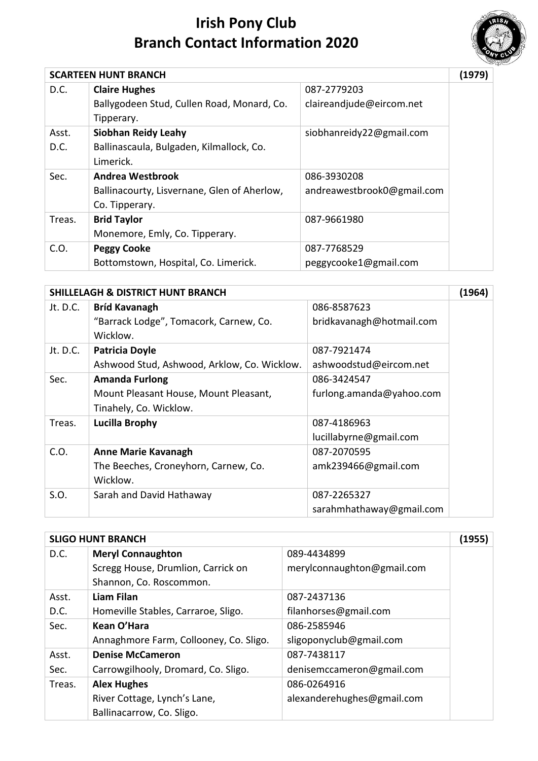

|        | <b>SCARTEEN HUNT BRANCH</b>                 |                            | (1979) |
|--------|---------------------------------------------|----------------------------|--------|
| D.C.   | <b>Claire Hughes</b>                        | 087-2779203                |        |
|        | Ballygodeen Stud, Cullen Road, Monard, Co.  | claireandjude@eircom.net   |        |
|        | Tipperary.                                  |                            |        |
| Asst.  | <b>Siobhan Reidy Leahy</b>                  | siobhanreidy22@gmail.com   |        |
| D.C.   | Ballinascaula, Bulgaden, Kilmallock, Co.    |                            |        |
|        | Limerick.                                   |                            |        |
| Sec.   | <b>Andrea Westbrook</b>                     | 086-3930208                |        |
|        | Ballinacourty, Lisvernane, Glen of Aherlow, | andreawestbrook0@gmail.com |        |
|        | Co. Tipperary.                              |                            |        |
| Treas. | <b>Brid Taylor</b>                          | 087-9661980                |        |
|        | Monemore, Emly, Co. Tipperary.              |                            |        |
| C.O.   | <b>Peggy Cooke</b>                          | 087-7768529                |        |
|        | Bottomstown, Hospital, Co. Limerick.        | peggycooke1@gmail.com      |        |

|          | <b>SHILLELAGH &amp; DISTRICT HUNT BRANCH</b> |                          | (1964) |
|----------|----------------------------------------------|--------------------------|--------|
| Jt. D.C. | <b>Bríd Kavanagh</b>                         | 086-8587623              |        |
|          | "Barrack Lodge", Tomacork, Carnew, Co.       | bridkavanagh@hotmail.com |        |
|          | Wicklow.                                     |                          |        |
| Jt. D.C. | <b>Patricia Doyle</b>                        | 087-7921474              |        |
|          | Ashwood Stud, Ashwood, Arklow, Co. Wicklow.  | ashwoodstud@eircom.net   |        |
| Sec.     | <b>Amanda Furlong</b>                        | 086-3424547              |        |
|          | Mount Pleasant House, Mount Pleasant,        | furlong.amanda@yahoo.com |        |
|          | Tinahely, Co. Wicklow.                       |                          |        |
| Treas.   | <b>Lucilla Brophy</b>                        | 087-4186963              |        |
|          |                                              | lucillabyrne@gmail.com   |        |
| C.O.     | <b>Anne Marie Kavanagh</b>                   | 087-2070595              |        |
|          | The Beeches, Croneyhorn, Carnew, Co.         | amk239466@gmail.com      |        |
|          | Wicklow.                                     |                          |        |
| S.O.     | Sarah and David Hathaway                     | 087-2265327              |        |
|          |                                              | sarahmhathaway@gmail.com |        |

|        | <b>SLIGO HUNT BRANCH</b>               |                            | (1955) |
|--------|----------------------------------------|----------------------------|--------|
| D.C.   | <b>Meryl Connaughton</b>               | 089-4434899                |        |
|        | Scregg House, Drumlion, Carrick on     | merylconnaughton@gmail.com |        |
|        | Shannon, Co. Roscommon.                |                            |        |
| Asst.  | Liam Filan                             | 087-2437136                |        |
| D.C.   | Homeville Stables, Carraroe, Sligo.    | filanhorses@gmail.com      |        |
| Sec.   | Kean O'Hara                            | 086-2585946                |        |
|        | Annaghmore Farm, Collooney, Co. Sligo. | sligoponyclub@gmail.com    |        |
| Asst.  | <b>Denise McCameron</b>                | 087-7438117                |        |
| Sec.   | Carrowgilhooly, Dromard, Co. Sligo.    | denisemccameron@gmail.com  |        |
| Treas. | <b>Alex Hughes</b>                     | 086-0264916                |        |
|        | River Cottage, Lynch's Lane,           | alexanderehughes@gmail.com |        |
|        | Ballinacarrow, Co. Sligo.              |                            |        |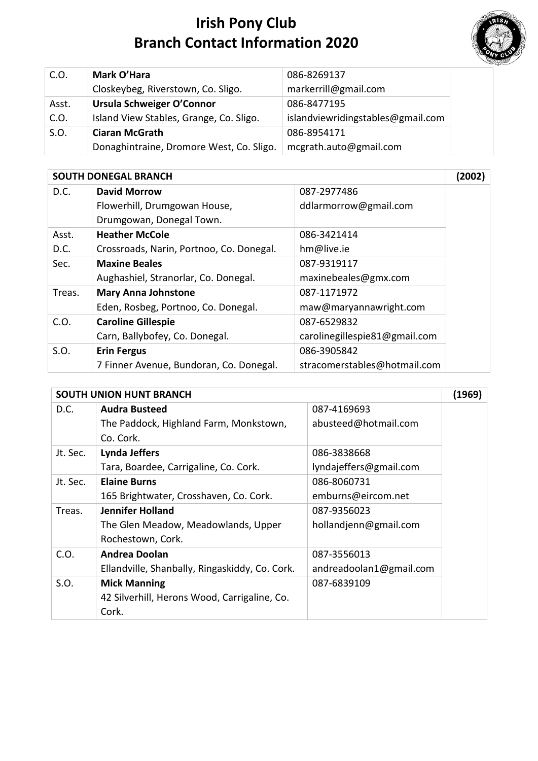

| C.O.  | Mark O'Hara                              | 086-8269137                       |
|-------|------------------------------------------|-----------------------------------|
|       | Closkeybeg, Riverstown, Co. Sligo.       | markerrill@gmail.com              |
| Asst. | Ursula Schweiger O'Connor                | 086-8477195                       |
| C.O.  | Island View Stables, Grange, Co. Sligo.  | islandviewridingstables@gmail.com |
| S.O.  | <b>Ciaran McGrath</b>                    | 086-8954171                       |
|       | Donaghintraine, Dromore West, Co. Sligo. | mcgrath.auto@gmail.com            |

|        | <b>SOUTH DONEGAL BRANCH</b>              |                               |  |
|--------|------------------------------------------|-------------------------------|--|
| D.C.   | <b>David Morrow</b>                      | 087-2977486                   |  |
|        | Flowerhill, Drumgowan House,             | ddlarmorrow@gmail.com         |  |
|        | Drumgowan, Donegal Town.                 |                               |  |
| Asst.  | <b>Heather McCole</b>                    | 086-3421414                   |  |
| D.C.   | Crossroads, Narin, Portnoo, Co. Donegal. | hm@live.ie                    |  |
| Sec.   | <b>Maxine Beales</b>                     | 087-9319117                   |  |
|        | Aughashiel, Stranorlar, Co. Donegal.     | maxinebeales@gmx.com          |  |
| Treas. | <b>Mary Anna Johnstone</b>               | 087-1171972                   |  |
|        | Eden, Rosbeg, Portnoo, Co. Donegal.      | maw@maryannawright.com        |  |
| C.O.   | <b>Caroline Gillespie</b>                | 087-6529832                   |  |
|        | Carn, Ballybofey, Co. Donegal.           | carolinegillespie81@gmail.com |  |
| S.O.   | <b>Erin Fergus</b>                       | 086-3905842                   |  |
|        | 7 Finner Avenue, Bundoran, Co. Donegal.  | stracomerstables@hotmail.com  |  |

|          | <b>SOUTH UNION HUNT BRANCH</b>                 |                         | (1969) |
|----------|------------------------------------------------|-------------------------|--------|
| D.C.     | <b>Audra Busteed</b>                           | 087-4169693             |        |
|          | The Paddock, Highland Farm, Monkstown,         | abusteed@hotmail.com    |        |
|          | Co. Cork.                                      |                         |        |
| Jt. Sec. | <b>Lynda Jeffers</b>                           | 086-3838668             |        |
|          | Tara, Boardee, Carrigaline, Co. Cork.          | lyndajeffers@gmail.com  |        |
| Jt. Sec. | <b>Elaine Burns</b>                            | 086-8060731             |        |
|          | 165 Brightwater, Crosshaven, Co. Cork.         | emburns@eircom.net      |        |
| Treas.   | <b>Jennifer Holland</b>                        | 087-9356023             |        |
|          | The Glen Meadow, Meadowlands, Upper            | hollandjenn@gmail.com   |        |
|          | Rochestown, Cork.                              |                         |        |
| C.O.     | <b>Andrea Doolan</b>                           | 087-3556013             |        |
|          | Ellandville, Shanbally, Ringaskiddy, Co. Cork. | andreadoolan1@gmail.com |        |
| S.O.     | <b>Mick Manning</b>                            | 087-6839109             |        |
|          | 42 Silverhill, Herons Wood, Carrigaline, Co.   |                         |        |
|          | Cork.                                          |                         |        |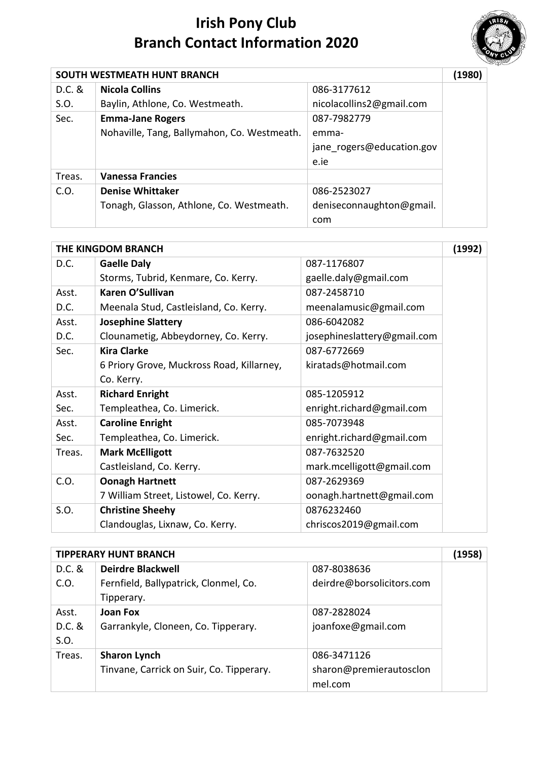

| SOUTH WESTMEATH HUNT BRANCH |                                             |                           | (1980) |
|-----------------------------|---------------------------------------------|---------------------------|--------|
| $D.C.$ &                    | <b>Nicola Collins</b>                       | 086-3177612               |        |
| S.O.                        | Baylin, Athlone, Co. Westmeath.             | nicolacollins2@gmail.com  |        |
| Sec.                        | <b>Emma-Jane Rogers</b>                     | 087-7982779               |        |
|                             | Nohaville, Tang, Ballymahon, Co. Westmeath. | emma-                     |        |
|                             |                                             | jane rogers@education.gov |        |
|                             |                                             | e.ie                      |        |
| Treas.                      | <b>Vanessa Francies</b>                     |                           |        |
| C.O.                        | <b>Denise Whittaker</b>                     | 086-2523027               |        |
|                             | Tonagh, Glasson, Athlone, Co. Westmeath.    | deniseconnaughton@gmail.  |        |
|                             |                                             | com                       |        |

|        | <b>THE KINGDOM BRANCH</b>                 |                             | (1992) |
|--------|-------------------------------------------|-----------------------------|--------|
| D.C.   | <b>Gaelle Daly</b>                        | 087-1176807                 |        |
|        | Storms, Tubrid, Kenmare, Co. Kerry.       | gaelle.daly@gmail.com       |        |
| Asst.  | Karen O'Sullivan                          | 087-2458710                 |        |
| D.C.   | Meenala Stud, Castleisland, Co. Kerry.    | meenalamusic@gmail.com      |        |
| Asst.  | <b>Josephine Slattery</b>                 | 086-6042082                 |        |
| D.C.   | Clounametig, Abbeydorney, Co. Kerry.      | josephineslattery@gmail.com |        |
| Sec.   | Kira Clarke                               | 087-6772669                 |        |
|        | 6 Priory Grove, Muckross Road, Killarney, | kiratads@hotmail.com        |        |
|        | Co. Kerry.                                |                             |        |
| Asst.  | <b>Richard Enright</b>                    | 085-1205912                 |        |
| Sec.   | Templeathea, Co. Limerick.                | enright.richard@gmail.com   |        |
| Asst.  | <b>Caroline Enright</b>                   | 085-7073948                 |        |
| Sec.   | Templeathea, Co. Limerick.                | enright.richard@gmail.com   |        |
| Treas. | <b>Mark McElligott</b>                    | 087-7632520                 |        |
|        | Castleisland, Co. Kerry.                  | mark.mcelligott@gmail.com   |        |
| C.O.   | <b>Oonagh Hartnett</b>                    | 087-2629369                 |        |
|        | 7 William Street, Listowel, Co. Kerry.    | oonagh.hartnett@gmail.com   |        |
| S.O.   | <b>Christine Sheehy</b>                   | 0876232460                  |        |
|        | Clandouglas, Lixnaw, Co. Kerry.           | chriscos2019@gmail.com      |        |

|          | <b>TIPPERARY HUNT BRANCH</b>             |                           | (1958) |
|----------|------------------------------------------|---------------------------|--------|
| D.C. &   | <b>Deirdre Blackwell</b>                 | 087-8038636               |        |
| C.O.     | Fernfield, Ballypatrick, Clonmel, Co.    | deirdre@borsolicitors.com |        |
|          | Tipperary.                               |                           |        |
| Asst.    | <b>Joan Fox</b>                          | 087-2828024               |        |
| $D.C.$ & | Garrankyle, Cloneen, Co. Tipperary.      | joanfoxe@gmail.com        |        |
| S.O.     |                                          |                           |        |
| Treas.   | <b>Sharon Lynch</b>                      | 086-3471126               |        |
|          | Tinvane, Carrick on Suir, Co. Tipperary. | sharon@premierautosclon   |        |
|          |                                          | mel.com                   |        |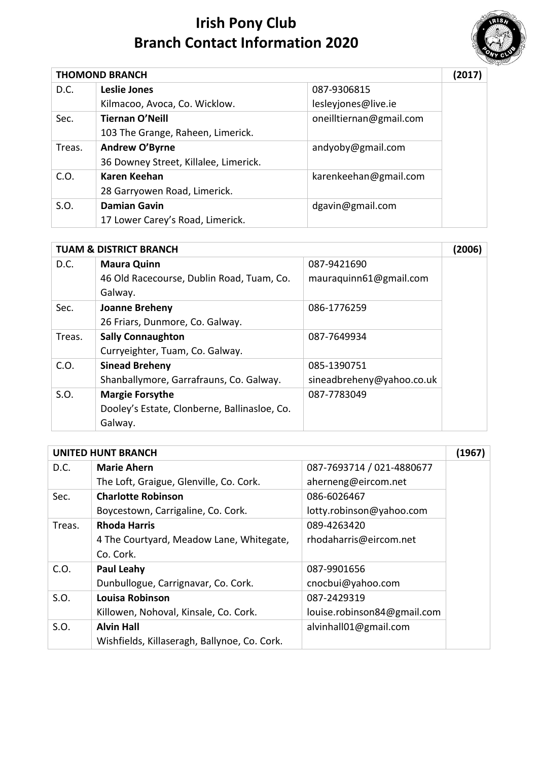

|        | <b>THOMOND BRANCH</b>                 |                         | (2017) |
|--------|---------------------------------------|-------------------------|--------|
| D.C.   | Leslie Jones                          | 087-9306815             |        |
|        | Kilmacoo, Avoca, Co. Wicklow.         | lesleyjones@live.ie     |        |
| Sec.   | <b>Tiernan O'Neill</b>                | oneilltiernan@gmail.com |        |
|        | 103 The Grange, Raheen, Limerick.     |                         |        |
| Treas. | Andrew O'Byrne                        | andyoby@gmail.com       |        |
|        | 36 Downey Street, Killalee, Limerick. |                         |        |
| C.O.   | Karen Keehan                          | karenkeehan@gmail.com   |        |
|        | 28 Garryowen Road, Limerick.          |                         |        |
| S.O.   | <b>Damian Gavin</b>                   | dgavin@gmail.com        |        |
|        | 17 Lower Carey's Road, Limerick.      |                         |        |

|        | <b>TUAM &amp; DISTRICT BRANCH</b>            |                           | (2006) |
|--------|----------------------------------------------|---------------------------|--------|
| D.C.   | <b>Maura Quinn</b>                           | 087-9421690               |        |
|        | 46 Old Racecourse, Dublin Road, Tuam, Co.    | mauraquinn61@gmail.com    |        |
|        | Galway.                                      |                           |        |
| Sec.   | <b>Joanne Breheny</b>                        | 086-1776259               |        |
|        | 26 Friars, Dunmore, Co. Galway.              |                           |        |
| Treas. | <b>Sally Connaughton</b>                     | 087-7649934               |        |
|        | Curryeighter, Tuam, Co. Galway.              |                           |        |
| C.O.   | <b>Sinead Breheny</b>                        | 085-1390751               |        |
|        | Shanballymore, Garrafrauns, Co. Galway.      | sineadbreheny@yahoo.co.uk |        |
| S.O.   | <b>Margie Forsythe</b>                       | 087-7783049               |        |
|        | Dooley's Estate, Clonberne, Ballinasloe, Co. |                           |        |
|        | Galway.                                      |                           |        |

|        | <b>UNITED HUNT BRANCH</b>                    |                             | (1967 |
|--------|----------------------------------------------|-----------------------------|-------|
| D.C.   | <b>Marie Ahern</b>                           | 087-7693714 / 021-4880677   |       |
|        | The Loft, Graigue, Glenville, Co. Cork.      | aherneng@eircom.net         |       |
| Sec.   | <b>Charlotte Robinson</b>                    | 086-6026467                 |       |
|        | Boycestown, Carrigaline, Co. Cork.           | lotty.robinson@yahoo.com    |       |
| Treas. | <b>Rhoda Harris</b>                          | 089-4263420                 |       |
|        | 4 The Courtyard, Meadow Lane, Whitegate,     | rhodaharris@eircom.net      |       |
|        | Co. Cork.                                    |                             |       |
| C.O.   | <b>Paul Leahy</b>                            | 087-9901656                 |       |
|        | Dunbullogue, Carrignavar, Co. Cork.          | cnocbui@yahoo.com           |       |
| S.O.   | <b>Louisa Robinson</b>                       | 087-2429319                 |       |
|        | Killowen, Nohoval, Kinsale, Co. Cork.        | louise.robinson84@gmail.com |       |
| S.O.   | <b>Alvin Hall</b>                            | alvinhall01@gmail.com       |       |
|        | Wishfields, Killaseragh, Ballynoe, Co. Cork. |                             |       |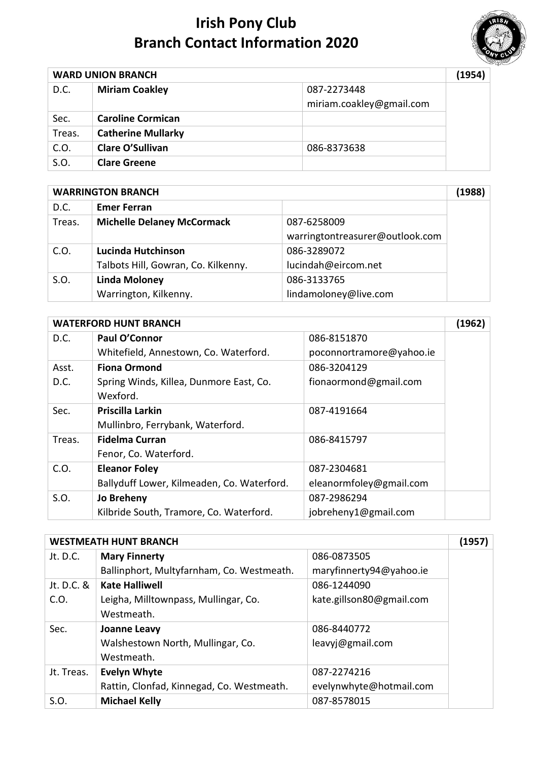

| <b>WARD UNION BRANCH</b> |                           |                          | (1954) |
|--------------------------|---------------------------|--------------------------|--------|
| D.C.                     | <b>Miriam Coakley</b>     | 087-2273448              |        |
|                          |                           | miriam.coakley@gmail.com |        |
| Sec.                     | <b>Caroline Cormican</b>  |                          |        |
| Treas.                   | <b>Catherine Mullarky</b> |                          |        |
| C.O.                     | <b>Clare O'Sullivan</b>   | 086-8373638              |        |
| S.O.                     | <b>Clare Greene</b>       |                          |        |

|        | <b>WARRINGTON BRANCH</b>            |                                 |  |
|--------|-------------------------------------|---------------------------------|--|
| D.C.   | <b>Emer Ferran</b>                  |                                 |  |
| Treas. | <b>Michelle Delaney McCormack</b>   | 087-6258009                     |  |
|        |                                     | warringtontreasurer@outlook.com |  |
| C.O.   | Lucinda Hutchinson                  | 086-3289072                     |  |
|        | Talbots Hill, Gowran, Co. Kilkenny. | lucindah@eircom.net             |  |
| S.O.   | <b>Linda Moloney</b>                | 086-3133765                     |  |
|        | Warrington, Kilkenny.               | lindamoloney@live.com           |  |

|        | <b>WATERFORD HUNT BRANCH</b>               |                          | (1962) |
|--------|--------------------------------------------|--------------------------|--------|
| D.C.   | Paul O'Connor                              | 086-8151870              |        |
|        | Whitefield, Annestown, Co. Waterford.      | poconnortramore@yahoo.ie |        |
| Asst.  | <b>Fiona Ormond</b>                        | 086-3204129              |        |
| D.C.   | Spring Winds, Killea, Dunmore East, Co.    | fionaormond@gmail.com    |        |
|        | Wexford.                                   |                          |        |
| Sec.   | <b>Priscilla Larkin</b>                    | 087-4191664              |        |
|        | Mullinbro, Ferrybank, Waterford.           |                          |        |
| Treas. | <b>Fidelma Curran</b>                      | 086-8415797              |        |
|        | Fenor, Co. Waterford.                      |                          |        |
| C.O.   | <b>Eleanor Foley</b>                       | 087-2304681              |        |
|        | Ballyduff Lower, Kilmeaden, Co. Waterford. | eleanormfoley@gmail.com  |        |
| S.O.   | Jo Breheny                                 | 087-2986294              |        |
|        | Kilbride South, Tramore, Co. Waterford.    | jobreheny1@gmail.com     |        |

| <b>WESTMEATH HUNT BRANCH</b>              |                          |  |
|-------------------------------------------|--------------------------|--|
| <b>Mary Finnerty</b>                      | 086-0873505              |  |
| Ballinphort, Multyfarnham, Co. Westmeath. | maryfinnerty94@yahoo.ie  |  |
| <b>Kate Halliwell</b>                     | 086-1244090              |  |
| Leigha, Milltownpass, Mullingar, Co.      | kate.gillson80@gmail.com |  |
| Westmeath.                                |                          |  |
| Joanne Leavy                              | 086-8440772              |  |
| Walshestown North, Mullingar, Co.         | leavyj@gmail.com         |  |
| Westmeath.                                |                          |  |
| <b>Evelyn Whyte</b>                       | 087-2274216              |  |
| Rattin, Clonfad, Kinnegad, Co. Westmeath. | evelynwhyte@hotmail.com  |  |
| <b>Michael Kelly</b>                      | 087-8578015              |  |
|                                           |                          |  |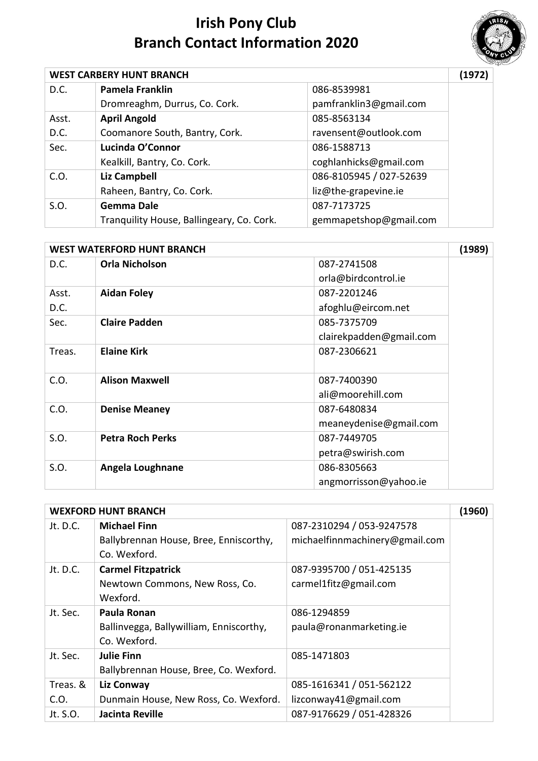

| <b>WEST CARBERY HUNT BRANCH</b> |                                           |                         | (1972) |
|---------------------------------|-------------------------------------------|-------------------------|--------|
| D.C.                            | Pamela Franklin                           | 086-8539981             |        |
|                                 | Dromreaghm, Durrus, Co. Cork.             | pamfranklin3@gmail.com  |        |
| Asst.                           | <b>April Angold</b>                       | 085-8563134             |        |
| D.C.                            | Coomanore South, Bantry, Cork.            | ravensent@outlook.com   |        |
| Sec.                            | Lucinda O'Connor                          | 086-1588713             |        |
|                                 | Kealkill, Bantry, Co. Cork.               | coghlanhicks@gmail.com  |        |
| C.O.                            | <b>Liz Campbell</b>                       | 086-8105945 / 027-52639 |        |
|                                 | Raheen, Bantry, Co. Cork.                 | liz@the-grapevine.ie    |        |
| S.O.                            | <b>Gemma Dale</b>                         | 087-7173725             |        |
|                                 | Tranquility House, Ballingeary, Co. Cork. | gemmapetshop@gmail.com  |        |

|        | <b>WEST WATERFORD HUNT BRANCH</b> |                         | (1989) |
|--------|-----------------------------------|-------------------------|--------|
| D.C.   | <b>Orla Nicholson</b>             | 087-2741508             |        |
|        |                                   | orla@birdcontrol.ie     |        |
| Asst.  | <b>Aidan Foley</b>                | 087-2201246             |        |
| D.C.   |                                   | afoghlu@eircom.net      |        |
| Sec.   | <b>Claire Padden</b>              | 085-7375709             |        |
|        |                                   | clairekpadden@gmail.com |        |
| Treas. | <b>Elaine Kirk</b>                | 087-2306621             |        |
|        |                                   |                         |        |
| C.O.   | <b>Alison Maxwell</b>             | 087-7400390             |        |
|        |                                   | ali@moorehill.com       |        |
| C.O.   | <b>Denise Meaney</b>              | 087-6480834             |        |
|        |                                   | meaneydenise@gmail.com  |        |
| S.O.   | <b>Petra Roch Perks</b>           | 087-7449705             |        |
|        |                                   | petra@swirish.com       |        |
| S.O.   | Angela Loughnane                  | 086-8305663             |        |
|        |                                   | angmorrisson@yahoo.ie   |        |

|          | <b>WEXFORD HUNT BRANCH</b>              |                                | (1960) |
|----------|-----------------------------------------|--------------------------------|--------|
| Jt. D.C. | <b>Michael Finn</b>                     | 087-2310294 / 053-9247578      |        |
|          | Ballybrennan House, Bree, Enniscorthy,  | michaelfinnmachinery@gmail.com |        |
|          | Co. Wexford.                            |                                |        |
| Jt. D.C. | <b>Carmel Fitzpatrick</b>               | 087-9395700 / 051-425135       |        |
|          | Newtown Commons, New Ross, Co.          | carmel1fitz@gmail.com          |        |
|          | Wexford.                                |                                |        |
| Jt. Sec. | Paula Ronan                             | 086-1294859                    |        |
|          | Ballinvegga, Ballywilliam, Enniscorthy, | paula@ronanmarketing.ie        |        |
|          | Co. Wexford.                            |                                |        |
| Jt. Sec. | <b>Julie Finn</b>                       | 085-1471803                    |        |
|          | Ballybrennan House, Bree, Co. Wexford.  |                                |        |
| Treas. & | Liz Conway                              | 085-1616341 / 051-562122       |        |
| C.O.     | Dunmain House, New Ross, Co. Wexford.   | lizconway41@gmail.com          |        |
| Jt. S.O. | Jacinta Reville                         | 087-9176629 / 051-428326       |        |